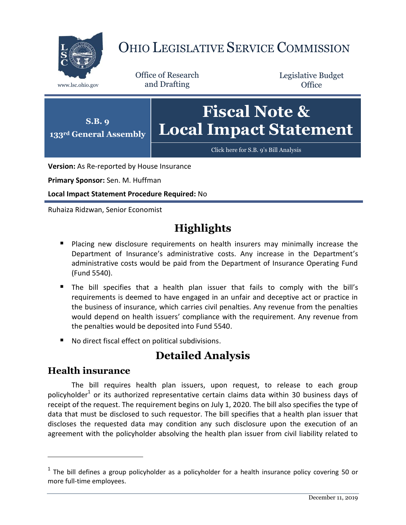

# OHIO LEGISLATIVE SERVICE COMMISSION

Office of Research www.lsc.ohio.gov and Drafting

Legislative Budget **Office** 



**Version:** As Re-reported by House Insurance

**Primary Sponsor:** Sen. M. Huffman

**Local Impact Statement Procedure Required:** No

Ruhaiza Ridzwan, Senior Economist

## **Highlights**

- **Placing new disclosure requirements on health insurers may minimally increase the** Department of Insurance's administrative costs. Any increase in the Department's administrative costs would be paid from the Department of Insurance Operating Fund (Fund 5540).
- The bill specifies that a health plan issuer that fails to comply with the bill's requirements is deemed to have engaged in an unfair and deceptive act or practice in the business of insurance, which carries civil penalties. Any revenue from the penalties would depend on health issuers' compliance with the requirement. Any revenue from the penalties would be deposited into Fund 5540.
- No direct fiscal effect on political subdivisions.

### **Detailed Analysis**

### **Health insurance**

 $\overline{a}$ 

The bill requires health plan issuers, upon request, to release to each group policyholder<sup>1</sup> or its authorized representative certain claims data within 30 business days of receipt of the request. The requirement begins on July 1, 2020. The bill also specifies the type of data that must be disclosed to such requestor. The bill specifies that a health plan issuer that discloses the requested data may condition any such disclosure upon the execution of an agreement with the policyholder absolving the health plan issuer from civil liability related to

 $<sup>1</sup>$  The bill defines a group policyholder as a policyholder for a health insurance policy covering 50 or</sup> more full-time employees.